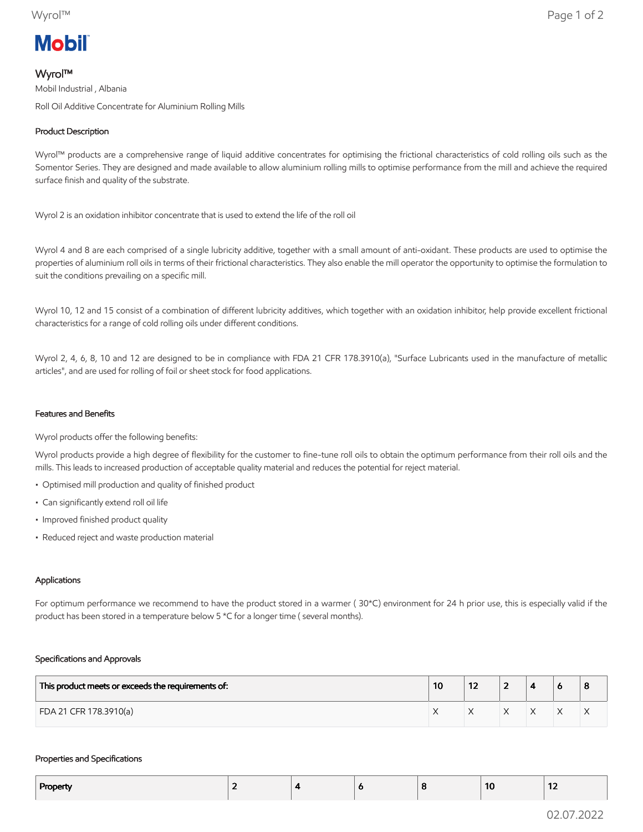# **Mobil**

# Wyrol™

Mobil Industrial , Albania Roll Oil Additive Concentrate for Aluminium Rolling Mills

## Product Description

Wyrol™ products are a comprehensive range of liquid additive concentrates for optimising the frictional characteristics of cold rolling oils such as the Somentor Series. They are designed and made available to allow aluminium rolling mills to optimise performance from the mill and achieve the required surface finish and quality of the substrate.

Wyrol 2 is an oxidation inhibitor concentrate that is used to extend the life of the roll oil

Wyrol 4 and 8 are each comprised of a single lubricity additive, together with a small amount of anti-oxidant. These products are used to optimise the properties of aluminium roll oils in terms of their frictional characteristics. They also enable the mill operator the opportunity to optimise the formulation to suit the conditions prevailing on a specific mill.

Wyrol 10, 12 and 15 consist of a combination of different lubricity additives, which together with an oxidation inhibitor, help provide excellent frictional characteristics for a range of cold rolling oils under different conditions.

Wyrol 2, 4, 6, 8, 10 and 12 are designed to be in compliance with FDA 21 CFR 178.3910(a), "Surface Lubricants used in the manufacture of metallic articles", and are used for rolling of foil or sheet stock for food applications.

#### Features and Benefits

Wyrol products offer the following benefits:

Wyrol products provide a high degree of flexibility for the customer to fine-tune roll oils to obtain the optimum performance from their roll oils and the mills. This leads to increased production of acceptable quality material and reduces the potential for reject material.

- Optimised mill production and quality of finished product
- Can significantly extend roll oil life
- Improved finished product quality
- Reduced reject and waste production material

## Applications

For optimum performance we recommend to have the product stored in a warmer ( 30\*C) environment for 24 h prior use, this is especially valid if the product has been stored in a temperature below 5 \*C for a longer time ( several months).

#### Specifications and Approvals

| This product meets or exceeds the requirements of: | 10 | --<br>' 4 |  |           |                |
|----------------------------------------------------|----|-----------|--|-----------|----------------|
| FDA 21 CFR 178.3910(a)                             |    |           |  | $\lambda$ | $\lambda$<br>∧ |

#### Properties and Specifications

| Property | . . | . . |  | 10 | $\sim$<br>$\overline{\phantom{a}}$ |
|----------|-----|-----|--|----|------------------------------------|
|          |     |     |  |    |                                    |